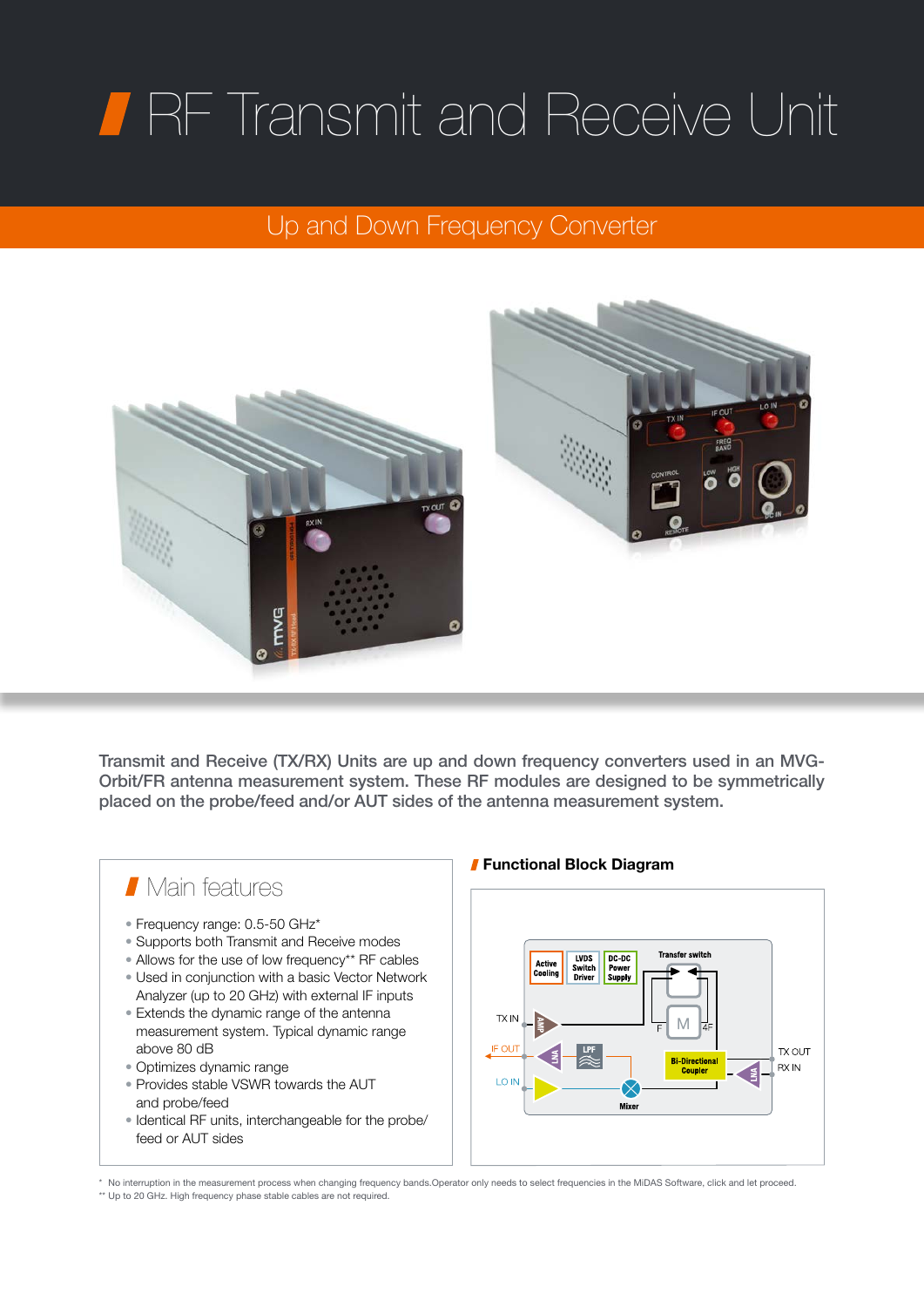# RF Transmit and Receive Unit

## Up and Down Frequency Converter



Transmit and Receive (TX/RX) Units are up and down frequency converters used in an MVG-Orbit/FR antenna measurement system. These RF modules are designed to be symmetrically placed on the probe/feed and/or AUT sides of the antenna measurement system.



### Functional Block Diagram

**Transfer switch** 

Counte

**TX OUT RXIN** 

\* No interruption in the measurement process when changing frequency bands.Operator only needs to select frequencies in the MiDAS Software, click and let proceed. \*\* Up to 20 GHz. High frequency phase stable cables are not required.